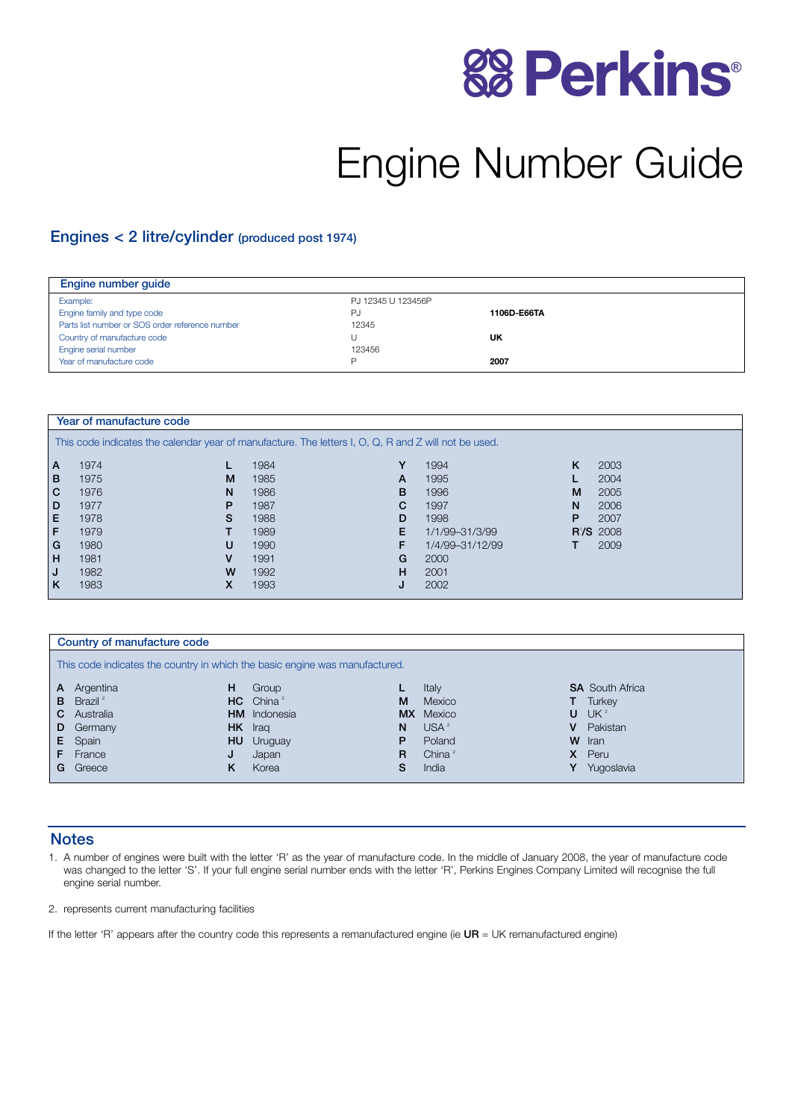# **88 Perkins®**

# Engine Number Guide

#### Engines < 2 litre/cylinder (produced post 1974)

| Engine number guide                             |                    |             |
|-------------------------------------------------|--------------------|-------------|
| Example:                                        | PJ 12345 U 123456P |             |
| Engine family and type code                     | PJ                 | 1106D-E66TA |
| Parts list number or SOS order reference number | 12345              |             |
| Country of manufacture code                     |                    | UK          |
| Engine serial number                            | 123456             |             |
| Year of manufacture code                        | D                  | 2007        |

| Year of manufacture code                                                                             |      |   |      |   |                 |    |             |  |
|------------------------------------------------------------------------------------------------------|------|---|------|---|-----------------|----|-------------|--|
| This code indicates the calendar year of manufacture. The letters I, O, Q, R and Z will not be used. |      |   |      |   |                 |    |             |  |
| l A                                                                                                  | 1974 |   | 1984 | Y | 1994            | K  | 2003        |  |
| l B                                                                                                  | 1975 | M | 1985 | A | 1995            |    | 2004        |  |
| l C                                                                                                  | 1976 | N | 1986 | B | 1996            | M  | 2005        |  |
| l D                                                                                                  | 1977 | P | 1987 | C | 1997            | N. | 2006        |  |
| l El                                                                                                 | 1978 | S | 1988 | D | 1998            | P  | 2007        |  |
| l F.                                                                                                 | 1979 |   | 1989 | Е | 1/1/99-31/3/99  |    | $R'/S$ 2008 |  |
| l G                                                                                                  | 1980 | U | 1990 | F | 1/4/99-31/12/99 |    | 2009        |  |
| l H                                                                                                  | 1981 | v | 1991 | G | 2000            |    |             |  |
| IJ                                                                                                   | 1982 | W | 1992 | н | 2001            |    |             |  |
| l K                                                                                                  | 1983 | X | 1993 |   | 2002            |    |             |  |

|                                                                             | Country of manufacture code  |     |                         |           |            |   |                        |
|-----------------------------------------------------------------------------|------------------------------|-----|-------------------------|-----------|------------|---|------------------------|
| This code indicates the country in which the basic engine was manufactured. |                              |     |                         |           |            |   |                        |
| $\mathsf{A}$                                                                | Argentina                    | н   | Group                   |           | Italy      |   | <b>SA</b> South Africa |
|                                                                             | <b>B</b> Brazil <sup>2</sup> |     | $HC$ China <sup>2</sup> | M         | Mexico     |   | Turkey                 |
| C                                                                           | Australia                    |     | <b>HM</b> Indonesia     | <b>MX</b> | Mexico     | U | UK <sup>2</sup>        |
| D                                                                           | Germany                      |     | HK Iraq                 | N         | $USA^2$    | v | Pakistan               |
| E.                                                                          | Spain                        | HU. | Uruguay                 | Р         | Poland     |   | W Iran                 |
|                                                                             | France                       | J   | Japan                   | R         | China $^2$ | х | Peru                   |
| G                                                                           | Greece                       | κ   | Korea                   | S         | India      |   | Yugoslavia             |

#### **Notes**

1. A number of engines were built with the letter 'R' as the year of manufacture code. In the middle of January 2008, the year of manufacture code was changed to the letter 'S'. If your full engine serial number ends with the letter 'R', Perkins Engines Company Limited will recognise the full engine serial number.

2. represents current manufacturing facilities

If the letter 'R' appears after the country code this represents a remanufactured engine (ie  $UR = UK$  remanufactured engine)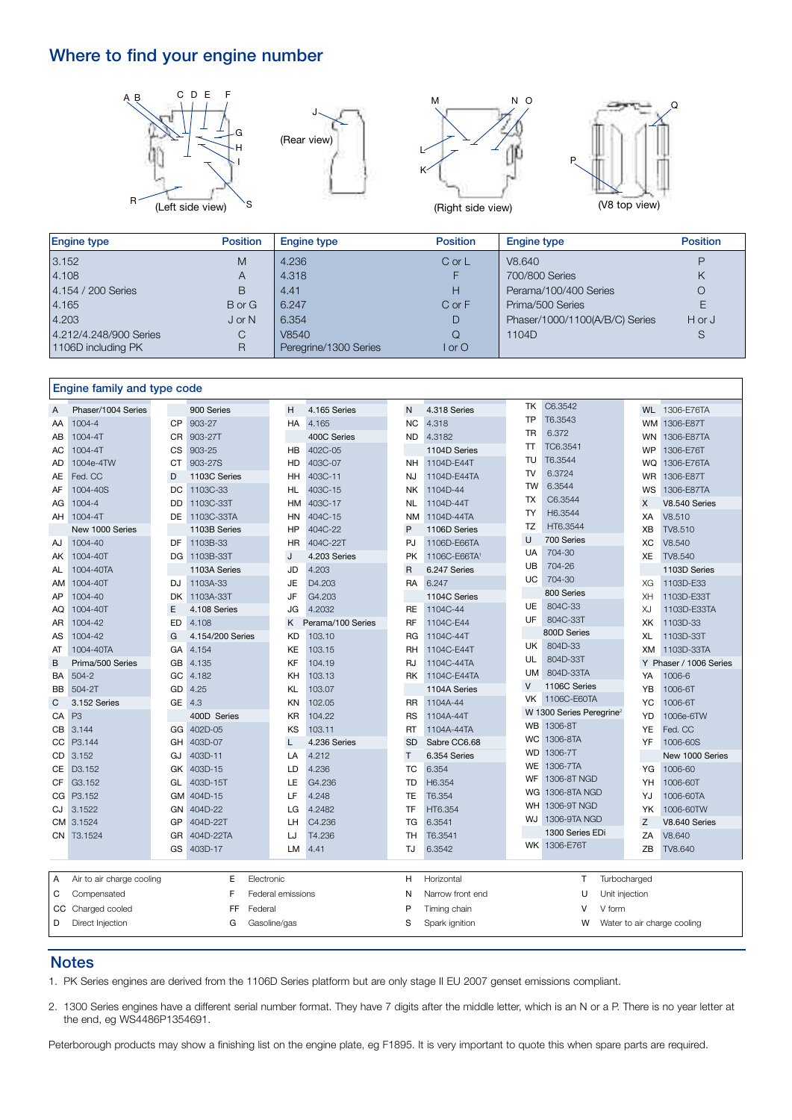# Where to find your engine number









| <b>Engine type</b>     | <b>Position</b> | Engine type           | <b>Position</b> | <b>Engine type</b>             | <b>Position</b> |
|------------------------|-----------------|-----------------------|-----------------|--------------------------------|-----------------|
| 3.152                  | M               | 4.236                 | $C$ or $L$      | V8.640                         | D               |
| 4.108                  | A               | 4.318                 | F.              | 700/800 Series                 | Κ               |
| 4.154 / 200 Series     | B               | 4.41                  | Н               | Perama/100/400 Series          | O               |
| 4.165                  | B or G          | 6.247                 | $C$ or $F$      | Prima/500 Series               |                 |
| 4.203                  | $J$ or N        | 6.354                 | D               | Phaser/1000/1100(A/B/C) Series | H or J          |
| 4.212/4.248/900 Series | С               | V8540                 | $\Omega$        | 1104D                          | S               |
| 1106D including PK     | R               | Peregrine/1300 Series | or 0            |                                |                 |

#### Engine family and type code

|           |                           |           |                  |                   |                   |                |                  | ТK        | C6.3542                              |                |                             |
|-----------|---------------------------|-----------|------------------|-------------------|-------------------|----------------|------------------|-----------|--------------------------------------|----------------|-----------------------------|
| A         | Phaser/1004 Series        |           | 900 Series       | H                 | 4.165 Series      | N              | 4.318 Series     |           |                                      |                | WL 1306-E76TA               |
| AA        | 1004-4                    | CP        | 903-27           | НA                | 4.165             | <b>NC</b>      | 4.318            | TP        | T6.3543                              | <b>WM</b>      | 1306-E87T                   |
| AB        | 1004-4T                   | <b>CR</b> | 903-27T          |                   | 400C Series       | ND             | 4.3182           | TR        | 6.372                                | <b>WN</b>      | 1306-E87TA                  |
| AC        | 1004-4T                   | CS        | 903-25           | HB                | 402C-05           |                | 1104D Series     | T         | TC6.3541                             | WP             | 1306-E76T                   |
| AD        | 1004e-4TW                 | СT        | 903-27S          | HD                | 403C-07           | <b>NH</b>      | 1104D-E44T       | TU        | T6.3544                              | WQ             | 1306-E76TA                  |
| AE        | Fed. CC                   | D         | 1103C Series     | HH                | 403C-11           | NJ             | 1104D-E44TA      | TV        | 6.3724                               | <b>WR</b>      | 1306-E87T                   |
| AF        | 1004-40S                  | DC        | 1103C-33         | <b>HL</b>         | 403C-15           | NK.            | 1104D-44         | TW        | 6.3544                               | WS             | 1306-E87TA                  |
| AG        | 1004-4                    | DD        | 1103C-33T        | HM                | 403C-17           | NL             | 1104D-44T        | TX        | C6.3544                              | X              | V8.540 Series               |
| AH        | 1004-4T                   | DE        | 1103C-33TA       | HN                | 404C-15           | <b>NM</b>      | 1104D-44TA       | <b>TY</b> | H6.3544                              | XA             | V8.510                      |
|           | New 1000 Series           |           | 1103B Series     | <b>HP</b>         | 404C-22           | P              | 1106D Series     | <b>TZ</b> | HT6.3544                             | XB             | TV8.510                     |
| AJ        | 1004-40                   | DF        | 1103B-33         | HR                | 404C-22T          | PJ             | 1106D-E66TA      | U         | 700 Series                           | XC             | V8.540                      |
| AK        | 1004-40T                  | DG        | 1103B-33T        | J                 | 4.203 Series      | <b>PK</b>      | 1106C-E66TA      | UA        | 704-30                               | XE             | TV8.540                     |
| AL        | 1004-40TA                 |           | 1103A Series     | JD                | 4.203             | $\overline{R}$ | 6.247 Series     | UB        | 704-26                               |                | 1103D Series                |
| AM        | 1004-40T                  | DJ        | 1103A-33         | JE                | D4.203            | <b>RA</b>      | 6.247            | UC        | 704-30                               | XG             | 1103D-E33                   |
| AP        | 1004-40                   | <b>DK</b> | 1103A-33T        | JF                | G4.203            |                | 1104C Series     |           | 800 Series                           | XH             | 1103D-E33T                  |
| AQ        | 1004-40T                  | E         | 4.108 Series     | JG                | 4.2032            | RE             | 1104C-44         | UE        | 804C-33                              | XJ             | 1103D-E33TA                 |
| AR        | 1004-42                   | ED        | 4.108            | K                 | Perama/100 Series | <b>RF</b>      | 1104C-E44        | UF        | 804C-33T                             | XK             | 1103D-33                    |
| AS        | 1004-42                   | G         | 4.154/200 Series | <b>KD</b>         | 103.10            | RG             | 1104C-44T        |           | 800D Series                          | XL             | 1103D-33T                   |
| AT        | 1004-40TA                 | GA        | 4.154            | KE                | 103.15            | RH             | 1104C-E44T       | UK        | 804D-33                              | XM             | 1103D-33TA                  |
| B         | Prima/500 Series          | GB        | 4.135            | KF                | 104.19            | <b>RJ</b>      | 1104C-44TA       | UL        | 804D-33T                             |                | Y Phaser / 1006 Series      |
| BA        | $504 - 2$                 | GC        | 4.182            | KH                | 103.13            | <b>RK</b>      | 1104C-E44TA      | <b>UM</b> | 804D-33TA                            | YA             | 1006-6                      |
| BB        | 504-2T                    | GD        | 4.25             | KL                | 103.07            |                | 1104A Series     | V         | 1106C Series                         | YΒ             | 1006-6T                     |
| C         | 3.152 Series              | <b>GE</b> | 4.3              | KN                | 102.05            | <b>RR</b>      | 1104A-44         | VK        | 1106C-E60TA                          | YC             | 1006-6T                     |
| CA        | P <sub>3</sub>            |           | 400D Series      | <b>KR</b>         | 104.22            | <b>RS</b>      | 1104A-44T        |           | W 1300 Series Peregrine <sup>2</sup> | YD             | 1006e-6TW                   |
| CВ        | 3.144                     | GG        | 402D-05          | KS                | 103.11            | RT             | 1104A-44TA       | WB        | 1306-8T                              | YE             | Fed. CC                     |
| CC        | P3.144                    | GH        | 403D-07          | L                 | 4.236 Series      | <b>SD</b>      | Sabre CC6.68     | <b>WC</b> | 1306-8TA                             | YF             | 1006-60S                    |
| <b>CD</b> | 3.152                     | GJ        | 403D-11          | LA                | 4.212             | T              | 6.354 Series     | <b>WD</b> | 1306-7T                              |                | New 1000 Series             |
| <b>CE</b> | D <sub>3</sub> .152       | GK        | 403D-15          | LD                | 4.236             | <b>TC</b>      | 6.354            | WE        | 1306-7TA                             | YG             | 1006-60                     |
| CF        | G3.152                    | GL        | 403D-15T         | LE                | G4.236            | TD             | H6.354           | WF        | 1306-8T NGD                          | YH             | 1006-60T                    |
|           | CG P3.152                 | GM        | 404D-15          | LF                | 4.248             | TE             | T6.354           | WG        | 1306-8TA NGD                         | YJ             | 1006-60TA                   |
| CJ        | 3.1522                    | GN        | 404D-22          | LG                | 4.2482            | TF             | HT6.354          | WH        | 1306-9T NGD                          | YK             | 1006-60TW                   |
|           | CM 3.1524                 | GP        | 404D-22T         | LH                | C4.236            | TG             | 6.3541           | WJ        | 1306-9TA NGD                         | Z              | V8.640 Series               |
|           | CN T3.1524                | GR        | 404D-22TA        | LJ                | T4.236            | TH             | T6.3541          |           | 1300 Series EDi                      | ZA             | V8.640                      |
|           |                           | GS        | 403D-17          | LM                | 4.41              | TJ             | 6.3542           |           | WK 1306-E76T                         | ZB             | TV8.640                     |
|           |                           |           |                  |                   |                   |                |                  |           |                                      |                |                             |
| Α         | Air to air charge cooling |           | E<br>Electronic  |                   |                   | H              | Horizontal       |           | T                                    | Turbocharged   |                             |
|           |                           |           |                  |                   |                   |                |                  |           |                                      |                |                             |
| С         | Compensated               |           | F                | Federal emissions |                   | N              | Narrow front end |           | U                                    | Unit injection |                             |
| CC        | Charged cooled            |           | FF<br>Federal    |                   |                   | P              | Timing chain     |           | v<br>V form                          |                |                             |
| D         | Direct Injection          |           | G                | Gasoline/gas      |                   | S              | Spark ignition   |           | W                                    |                | Water to air charge cooling |

#### **Notes**

1. PK Series engines are derived from the 1106D Series platform but are only stage II EU 2007 genset emissions compliant.

2. 1300 Series engines have a different serial number format. They have 7 digits after the middle letter, which is an N or a P. There is no year letter at the end, eg WS4486P1354691.

Peterborough products may show a finishing list on the engine plate, eg F1895. It is very important to quote this when spare parts are required.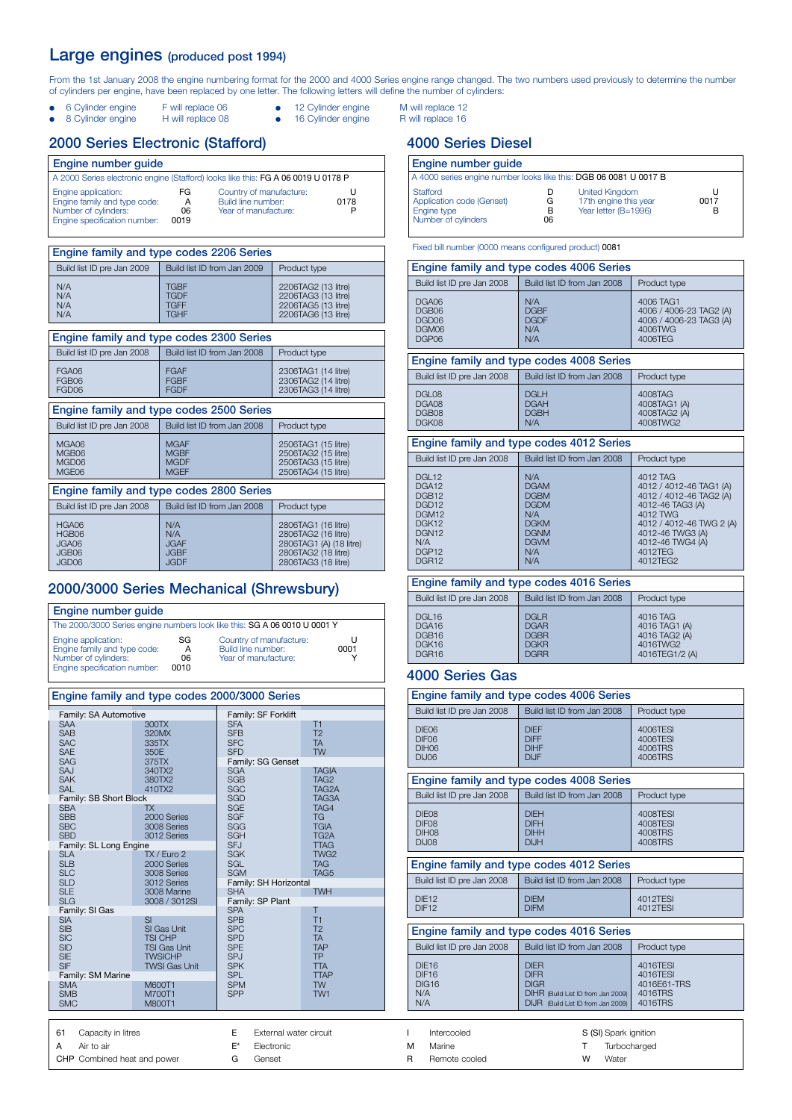#### Large engines (produced post 1994)

From the 1st January 2008 the engine numbering format for the 2000 and 4000 Series engine range changed. The two numbers used previously to determine the number of cylinders per engine, have been replaced by one letter. The following letters will define the number of cylinders:

- e Cylinder engine F will replace 06 **•** 12 Cylinder engine M will replace 12<br>
8 Cylinder engine H will replace 08 **•** 16 Cylinder engine R will replace 16
	-
- 16 Cylinder engine
- -

#### 2000 Series Electronic (Stafford)

| Engine number quide                                                                                         |                        |                                                                       |      |  |  |
|-------------------------------------------------------------------------------------------------------------|------------------------|-----------------------------------------------------------------------|------|--|--|
| A 2000 Series electronic engine (Stafford) looks like this: FG A 06 0019 U 0178 P                           |                        |                                                                       |      |  |  |
| Engine application:<br>Engine family and type code:<br>Number of cylinders:<br>Engine specification number: | FG.<br>А<br>06<br>0019 | Country of manufacture:<br>Build line number:<br>Year of manufacture: | 0178 |  |  |

| Engine family and type codes 2206 Series |                                                   |                                                                                          |  |  |  |
|------------------------------------------|---------------------------------------------------|------------------------------------------------------------------------------------------|--|--|--|
| Build list ID pre Jan 2009               | Build list ID from Jan 2009                       | Product type                                                                             |  |  |  |
| N/A<br>N/A<br>N/A<br>N/A                 | TGBF<br><b>TGDF</b><br><b>TGFF</b><br><b>TGHF</b> | 2206TAG2 (13 litre)<br>2206TAG3 (13 litre)<br>2206TAG5 (13 litre)<br>2206TAG6 (13 litre) |  |  |  |

| Engine family and type codes 2300 Series  |                                                          |                                                                                                                     |  |  |  |  |  |
|-------------------------------------------|----------------------------------------------------------|---------------------------------------------------------------------------------------------------------------------|--|--|--|--|--|
| Build list ID pre Jan 2008                | Build list ID from Jan 2008                              | Product type                                                                                                        |  |  |  |  |  |
| FGA06<br>FGB06<br>FGD06                   | <b>FGAF</b><br><b>FGBF</b><br><b>FGDF</b>                | 2306TAG1 (14 litre)<br>2306TAG2 (14 litre)<br>2306TAG3 (14 litre)                                                   |  |  |  |  |  |
| Engine family and type codes 2500 Series  |                                                          |                                                                                                                     |  |  |  |  |  |
| Build list ID pre Jan 2008                | Build list ID from Jan 2008                              | Product type                                                                                                        |  |  |  |  |  |
| MGA06<br>MGB06<br>MGD06<br>MGE06          | <b>MGAF</b><br><b>MGBF</b><br><b>MGDF</b><br><b>MGEF</b> | 2506TAG1 (15 litre)<br>2506TAG2 (15 litre)<br>2506TAG3 (15 litre)<br>2506TAG4 (15 litre)                            |  |  |  |  |  |
|                                           | Engine family and type codes 2800 Series                 |                                                                                                                     |  |  |  |  |  |
| Build list ID pre Jan 2008                | Build list ID from Jan 2008                              | Product type                                                                                                        |  |  |  |  |  |
| HGA06<br>HGB06<br>JGA06<br>JGB06<br>JGD06 | N/A<br>N/A<br><b>JGAF</b><br><b>JGBF</b><br><b>JGDF</b>  | 2806TAG1 (16 litre)<br>2806TAG2 (16 litre)<br>2806TAG1 (A) (18 litre)<br>2806TAG2 (18 litre)<br>2806TAG3 (18 litre) |  |  |  |  |  |

#### 2000/3000 Series Mechanical (Shrewsbury)

Engine family and type codes 2000/3000 Series

A Air to air

CHP Combined heat and power

| <b>Engine number quide</b>                                                                                  |                       |                                                                       |           |  |  |
|-------------------------------------------------------------------------------------------------------------|-----------------------|-----------------------------------------------------------------------|-----------|--|--|
| The 2000/3000 Series engine numbers look like this: SG A 06 0010 U 0001 Y                                   |                       |                                                                       |           |  |  |
| Engine application:<br>Engine family and type code:<br>Number of cylinders:<br>Engine specification number: | SG<br>А<br>06<br>0010 | Country of manufacture:<br>Build line number:<br>Year of manufacture: | U<br>0001 |  |  |

| Engine family and type codes 2000/3000 Series                                    |                                                                                                      |                                                                                         |                                                                            |  |  |
|----------------------------------------------------------------------------------|------------------------------------------------------------------------------------------------------|-----------------------------------------------------------------------------------------|----------------------------------------------------------------------------|--|--|
| Family: SA Automotive                                                            |                                                                                                      | Family: SF Forklift                                                                     |                                                                            |  |  |
| <b>SAA</b><br><b>SAB</b><br><b>SAC</b><br><b>SAE</b><br><b>SAG</b><br>SAJ        | 300TX<br>320MX<br>335TX<br>350E<br>375TX<br>340TX2                                                   | <b>SFA</b><br><b>SFB</b><br><b>SFC</b><br><b>SFD</b><br>Family: SG Genset<br><b>SGA</b> | T1<br>T <sub>2</sub><br><b>TA</b><br><b>TW</b><br><b>TAGIA</b>             |  |  |
| <b>SAK</b>                                                                       | 380TX2                                                                                               | <b>SGB</b>                                                                              | TAG <sub>2</sub>                                                           |  |  |
| <b>SAL</b><br>Family: SB Short Block                                             | 410TX2                                                                                               | <b>SGC</b><br><b>SGD</b>                                                                | TAG2A<br>TAG3A                                                             |  |  |
| <b>SBA</b><br><b>SBB</b><br><b>SBC</b><br><b>SBD</b>                             | <b>TX</b><br>2000 Series<br>3008 Series<br>3012 Series                                               | <b>SGE</b><br><b>SGF</b><br><b>SGG</b><br>SGH                                           | TAG4<br><b>TG</b><br><b>TGIA</b><br>TG <sub>2</sub> A                      |  |  |
| Family: SL Long Engine<br><b>SLA</b>                                             | TX / Euro 2                                                                                          | <b>SFJ</b><br><b>SGK</b>                                                                | <b>TTAG</b><br>TWG <sub>2</sub>                                            |  |  |
| <b>SLB</b><br><b>SLC</b>                                                         | 2000 Series<br>3008 Series                                                                           | <b>SGL</b><br><b>SGM</b>                                                                | <b>TAG</b><br>TAG5                                                         |  |  |
| <b>SLD</b>                                                                       | 3012 Series                                                                                          | Family: SH Horizontal                                                                   |                                                                            |  |  |
| <b>SLE</b><br><b>SLG</b>                                                         | 3008 Marine<br>3008 / 3012SI                                                                         | <b>SHA</b><br>Family: SP Plant                                                          | <b>TWH</b>                                                                 |  |  |
| Family: SI Gas                                                                   |                                                                                                      | <b>SPA</b>                                                                              | Т                                                                          |  |  |
| <b>SIA</b><br><b>SIB</b><br><b>SIC</b><br><b>SID</b><br><b>SIE</b><br><b>SIF</b> | SI<br>SI Gas Unit<br><b>TSI CHP</b><br><b>TSI Gas Unit</b><br><b>TWSICHP</b><br><b>TWSI Gas Unit</b> | <b>SPB</b><br><b>SPC</b><br><b>SPD</b><br><b>SPE</b><br><b>SPJ</b><br><b>SPK</b>        | T1<br>T <sub>2</sub><br><b>TA</b><br><b>TAP</b><br><b>TP</b><br><b>TTA</b> |  |  |
| Family: SM Marine<br><b>SMA</b>                                                  | M600T1                                                                                               | <b>SPL</b><br><b>SPM</b>                                                                | <b>TTAP</b><br><b>TW</b>                                                   |  |  |
| <b>SMB</b><br><b>SMC</b>                                                         | M700T1<br>M800T1                                                                                     | <b>SPP</b>                                                                              | TW <sub>1</sub>                                                            |  |  |
|                                                                                  |                                                                                                      |                                                                                         |                                                                            |  |  |
| 61<br>E<br>Capacity in litres<br>External water circuit                          |                                                                                                      |                                                                                         |                                                                            |  |  |

E\* Electronic G Genset

## 4000 Series Diesel

| Engine number quide                                                         |                   |                                                                        |           |  |  |
|-----------------------------------------------------------------------------|-------------------|------------------------------------------------------------------------|-----------|--|--|
| A 4000 series engine number looks like this: DGB 06 0081 U 0017 B           |                   |                                                                        |           |  |  |
| Stafford<br>Application code (Genset)<br>Engine type<br>Number of cylinders | D<br>G<br>В<br>06 | <b>United Kingdom</b><br>17th engine this year<br>Year letter (B=1996) | U<br>0017 |  |  |

#### Fixed bill number (0000 means configured product) 0081

|                                                                                                                                                                                      | Engine family and type codes 4006 Series                                                                           |                                                                                                                                                                                           |  |  |  |  |
|--------------------------------------------------------------------------------------------------------------------------------------------------------------------------------------|--------------------------------------------------------------------------------------------------------------------|-------------------------------------------------------------------------------------------------------------------------------------------------------------------------------------------|--|--|--|--|
| Build list ID pre Jan 2008                                                                                                                                                           | Build list ID from Jan 2008                                                                                        | Product type                                                                                                                                                                              |  |  |  |  |
| DGA06<br>DGB06<br>DGD06<br>DGM06<br>DGP06                                                                                                                                            | N/A<br><b>DGBF</b><br><b>DGDF</b><br>N/A<br>N/A                                                                    | 4006 TAG1<br>4006 / 4006-23 TAG2 (A)<br>4006 / 4006-23 TAG3 (A)<br>4006TWG<br>4006TEG                                                                                                     |  |  |  |  |
|                                                                                                                                                                                      | Engine family and type codes 4008 Series                                                                           |                                                                                                                                                                                           |  |  |  |  |
| Build list ID pre Jan 2008                                                                                                                                                           | Build list ID from Jan 2008                                                                                        | Product type                                                                                                                                                                              |  |  |  |  |
| DGL08<br>DGA08<br>DGB08<br>DGK08                                                                                                                                                     | <b>DGI H</b><br><b>DGAH</b><br><b>DGBH</b><br>N/A                                                                  | 4008TAG<br>4008TAG1 (A)<br>4008TAG2 (A)<br>4008TWG2                                                                                                                                       |  |  |  |  |
| Engine family and type codes 4012 Series                                                                                                                                             |                                                                                                                    |                                                                                                                                                                                           |  |  |  |  |
| Build list ID pre Jan 2008                                                                                                                                                           | Build list ID from Jan 2008                                                                                        | Product type                                                                                                                                                                              |  |  |  |  |
| DGL <sub>12</sub><br>DGA <sub>12</sub><br>DGB <sub>12</sub><br>DGD <sub>12</sub><br>DGM <sub>12</sub><br>DGK12<br>DGN <sub>12</sub><br>N/A<br>DGP <sub>12</sub><br>DGR <sub>12</sub> | N/A<br><b>DGAM</b><br><b>DGBM</b><br><b>DGDM</b><br>N/A<br><b>DGKM</b><br><b>DGNM</b><br><b>DGVM</b><br>N/A<br>N/A | 4012 TAG<br>4012 / 4012-46 TAG1 (A)<br>4012 / 4012-46 TAG2 (A)<br>4012-46 TAG3 (A)<br>4012 TWG<br>4012 / 4012-46 TWG 2 (A)<br>4012-46 TWG3 (A)<br>4012-46 TWG4 (A)<br>4012TEG<br>4012TEG2 |  |  |  |  |
|                                                                                                                                                                                      | Engine family and type codes 4016 Series                                                                           |                                                                                                                                                                                           |  |  |  |  |
| Build list ID pre Jan 2008                                                                                                                                                           | Build list ID from Jan 2008                                                                                        | Product type                                                                                                                                                                              |  |  |  |  |
| DGL <sub>16</sub><br>DGA <sub>16</sub><br>DGB <sub>16</sub><br>DGK16<br>DGR <sub>16</sub>                                                                                            | DGLR<br><b>DGAR</b><br><b>DGBR</b><br><b>DGKR</b><br><b>DGRR</b>                                                   | 4016 TAG<br>4016 TAG1 (A)<br>4016 TAG2 (A)<br>4016TWG2<br>4016TEG1/2 (A)                                                                                                                  |  |  |  |  |
| 4000 Series Gas                                                                                                                                                                      |                                                                                                                    |                                                                                                                                                                                           |  |  |  |  |

#### Build list ID pre Jan 2008 | Build list ID from Jan 2008 | Product type DIE16 | DIER | 4016TES DIF16 DIFR 4016TESI<br>DIG16 DIGR DIGR 4016E61-DIG16 DIGR DIGR 4016E61-TRS<br>N/A DIHR (Build List ID from Jan 2009) 4016TRS N/A<br>N/A DIHR (Build List ID from Jan 2009) 4016TRS<br>N/A DIJR (Build List ID from Jan 2009) 4016TRS DIJR (Build List ID from Jan 2009) Build list ID pre Jan 2008 | Build list ID from Jan 2008 | Product type DIE06 DIEF 4006TESI<br>DIF06 DIFF 4006TESI DIFO6 DIFF 4006TES<br>DIF06 DIFF 4006TES<br>DIH06 DIFF 4006TES DIH06 DIHF 4006TRS<br>DIJ06 DIJF DIJF 4006TRS 4006TRS Engine family and type codes 4006 Series Build list ID pre Jan 2008 | Build list ID from Jan 2008 | Product type DIE08 DIEH 4008TESI<br>DIF08 DIFH 4008TESI<br>DIH08 DIHH 4008TRS DIF08 DIFH 4008TES<br>DIH08 DIHH 4008TRS DIJ08 DIJH 4008TRS Engine family and type codes 4008 Series Build list ID pre Jan 2008 | Build list ID from Jan 2008 | Product type DIE12 DIEM 4012TESI<br>DIF12 DIEM DIEM 4012TESI 4012TESI Engine family and type codes 4012 Series Engine family and type codes 4016 Series I Intercooled M Marine R Remote cooled S (SI) Spark ignition T Turbocharged W Water